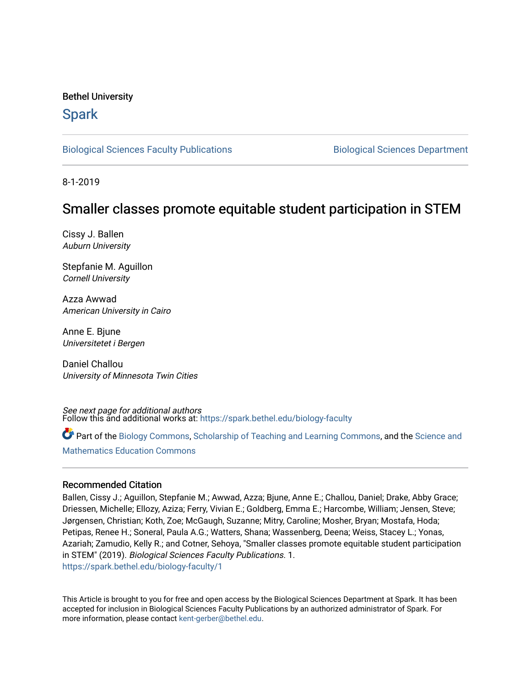# Bethel University

# **Spark**

[Biological Sciences Faculty Publications](https://spark.bethel.edu/biology-faculty) **Biological Sciences Department** 

8-1-2019

# Smaller classes promote equitable student participation in STEM

Cissy J. Ballen Auburn University

Stepfanie M. Aguillon Cornell University

Azza Awwad American University in Cairo

Anne E. Bjune Universitetet i Bergen

Daniel Challou University of Minnesota Twin Cities

See next page for additional authors Follow this and additional works at: [https://spark.bethel.edu/biology-faculty](https://spark.bethel.edu/biology-faculty?utm_source=spark.bethel.edu%2Fbiology-faculty%2F1&utm_medium=PDF&utm_campaign=PDFCoverPages)

Part of the [Biology Commons,](http://network.bepress.com/hgg/discipline/41?utm_source=spark.bethel.edu%2Fbiology-faculty%2F1&utm_medium=PDF&utm_campaign=PDFCoverPages) [Scholarship of Teaching and Learning Commons,](http://network.bepress.com/hgg/discipline/1328?utm_source=spark.bethel.edu%2Fbiology-faculty%2F1&utm_medium=PDF&utm_campaign=PDFCoverPages) and the [Science and](http://network.bepress.com/hgg/discipline/800?utm_source=spark.bethel.edu%2Fbiology-faculty%2F1&utm_medium=PDF&utm_campaign=PDFCoverPages)  [Mathematics Education Commons](http://network.bepress.com/hgg/discipline/800?utm_source=spark.bethel.edu%2Fbiology-faculty%2F1&utm_medium=PDF&utm_campaign=PDFCoverPages) 

#### Recommended Citation

Ballen, Cissy J.; Aguillon, Stepfanie M.; Awwad, Azza; Bjune, Anne E.; Challou, Daniel; Drake, Abby Grace; Driessen, Michelle; Ellozy, Aziza; Ferry, Vivian E.; Goldberg, Emma E.; Harcombe, William; Jensen, Steve; Jørgensen, Christian; Koth, Zoe; McGaugh, Suzanne; Mitry, Caroline; Mosher, Bryan; Mostafa, Hoda; Petipas, Renee H.; Soneral, Paula A.G.; Watters, Shana; Wassenberg, Deena; Weiss, Stacey L.; Yonas, Azariah; Zamudio, Kelly R.; and Cotner, Sehoya, "Smaller classes promote equitable student participation in STEM" (2019). Biological Sciences Faculty Publications. 1. [https://spark.bethel.edu/biology-faculty/1](https://spark.bethel.edu/biology-faculty/1?utm_source=spark.bethel.edu%2Fbiology-faculty%2F1&utm_medium=PDF&utm_campaign=PDFCoverPages) 

This Article is brought to you for free and open access by the Biological Sciences Department at Spark. It has been accepted for inclusion in Biological Sciences Faculty Publications by an authorized administrator of Spark. For more information, please contact [kent-gerber@bethel.edu.](mailto:kent-gerber@bethel.edu)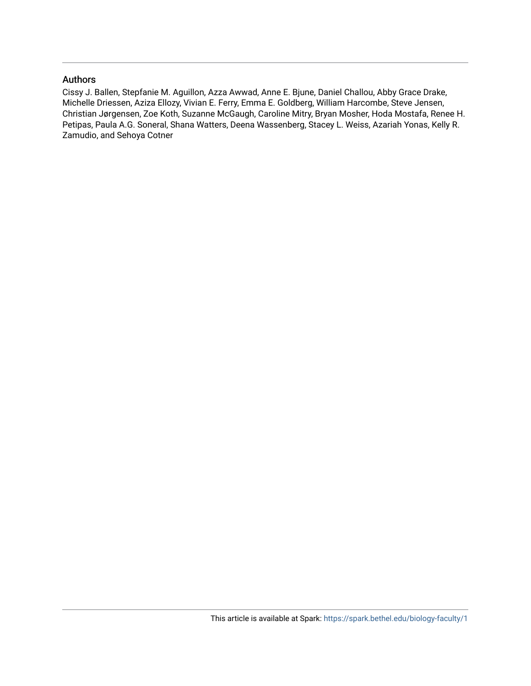# Authors

Cissy J. Ballen, Stepfanie M. Aguillon, Azza Awwad, Anne E. Bjune, Daniel Challou, Abby Grace Drake, Michelle Driessen, Aziza Ellozy, Vivian E. Ferry, Emma E. Goldberg, William Harcombe, Steve Jensen, Christian Jørgensen, Zoe Koth, Suzanne McGaugh, Caroline Mitry, Bryan Mosher, Hoda Mostafa, Renee H. Petipas, Paula A.G. Soneral, Shana Watters, Deena Wassenberg, Stacey L. Weiss, Azariah Yonas, Kelly R. Zamudio, and Sehoya Cotner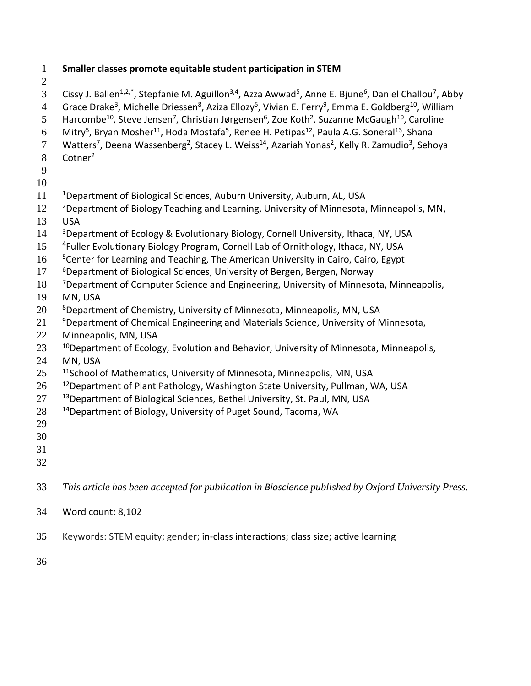1 **Smaller classes promote equitable student participation in STEM** 2 3 Cissy J. Ballen<sup>1,2,\*</sup>, Stepfanie M. Aguillon<sup>3,4</sup>, Azza Awwad<sup>5</sup>, Anne E. Bjune<sup>6</sup>, Daniel Challou<sup>7</sup>, Abby 4 Grace Drake<sup>3</sup>, Michelle Driessen<sup>8</sup>, Aziza Ellozy<sup>5</sup>, Vivian E. Ferry<sup>9</sup>, Emma E. Goldberg<sup>10</sup>, William 5 Harcombe<sup>10</sup>, Steve Jensen<sup>7</sup>, Christian Jørgensen<sup>6</sup>, Zoe Koth<sup>2</sup>, Suzanne McGaugh<sup>10</sup>, Caroline 6 Mitry<sup>5</sup>, Bryan Mosher<sup>11</sup>, Hoda Mostafa<sup>5</sup>, Renee H. Petipas<sup>12</sup>, Paula A.G. Soneral<sup>13</sup>, Shana 7 Watters<sup>7</sup>, Deena Wassenberg<sup>2</sup>, Stacey L. Weiss<sup>14</sup>, Azariah Yonas<sup>2</sup>, Kelly R. Zamudio<sup>3</sup>, Sehoya 8 Cotner<sup>2</sup> 9 10 11 <sup>1</sup>Department of Biological Sciences, Auburn University, Auburn, AL, USA <sup>2</sup> Department of Biology Teaching and Learning, University of Minnesota, Minneapolis, MN, 13 USA  $14$  <sup>3</sup> Department of Ecology & Evolutionary Biology, Cornell University, Ithaca, NY, USA 15 <sup>4</sup> Fuller Evolutionary Biology Program, Cornell Lab of Ornithology, Ithaca, NY, USA 16 <sup>5</sup> Scenter for Learning and Teaching, The American University in Cairo, Cairo, Egypt 17 *<sup>6</sup>Department of Biological Sciences, University of Bergen, Bergen, Norway* <sup>7</sup> Department of Computer Science and Engineering, University of Minnesota, Minneapolis, 19 MN, USA 20 <sup>8</sup> Department of Chemistry, University of Minnesota, Minneapolis, MN, USA <sup>9</sup> Department of Chemical Engineering and Materials Science, University of Minnesota, 22 Minneapolis, MN, USA  $10^{10}$  Department of Ecology, Evolution and Behavior, University of Minnesota, Minneapolis, 24 MN, USA 25 <sup>11</sup> 11 2 School of Mathematics, University of Minnesota, Minneapolis, MN, USA 26 <sup>12</sup> Department of Plant Pathology, Washington State University, Pullman, WA, USA 27 <sup>13</sup> Department of Biological Sciences, Bethel University, St. Paul, MN, USA  $28$  <sup>14</sup> Department of Biology, University of Puget Sound, Tacoma, WA 29 30 31 32 33 *This article has been accepted for publication in Bioscience published by Oxford University Press.* 34 Word count: 8,102 35 Keywords: STEM equity; gender; in-class interactions; class size; active learning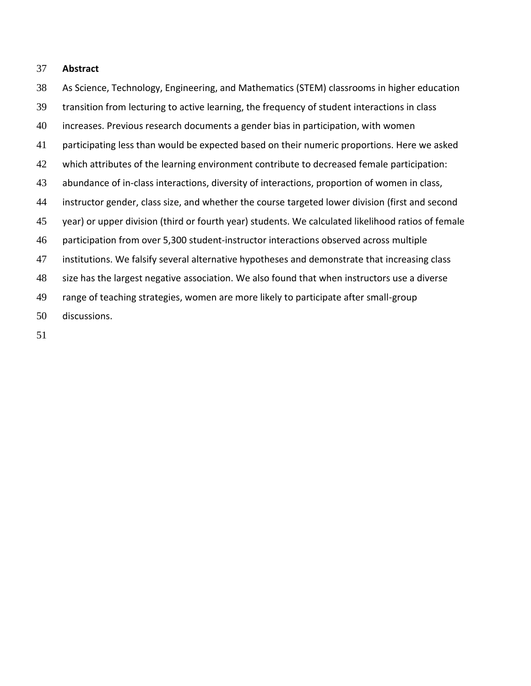#### **Abstract**

 As Science, Technology, Engineering, and Mathematics (STEM) classrooms in higher education transition from lecturing to active learning, the frequency of student interactions in class increases. Previous research documents a gender bias in participation, with women 41 participating less than would be expected based on their numeric proportions. Here we asked which attributes of the learning environment contribute to decreased female participation: abundance of in-class interactions, diversity of interactions, proportion of women in class, instructor gender, class size, and whether the course targeted lower division (first and second year) or upper division (third or fourth year) students. We calculated likelihood ratios of female participation from over 5,300 student-instructor interactions observed across multiple institutions. We falsify several alternative hypotheses and demonstrate that increasing class size has the largest negative association. We also found that when instructors use a diverse range of teaching strategies, women are more likely to participate after small-group discussions.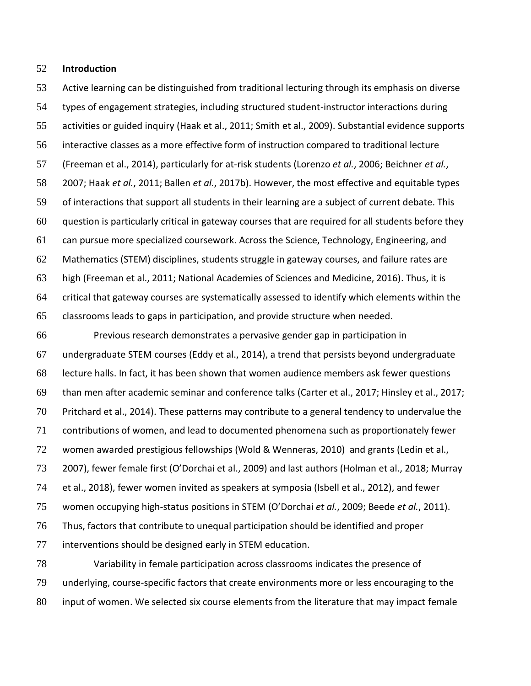#### **Introduction**

 Active learning can be distinguished from traditional lecturing through its emphasis on diverse types of engagement strategies, including structured student-instructor interactions during activities or guided inquiry (Haak et al., 2011; Smith et al., 2009). Substantial evidence supports interactive classes as a more effective form of instruction compared to traditional lecture (Freeman et al., 2014), particularly for at-risk students (Lorenzo *et al.*, 2006; Beichner *et al.*, 2007; Haak *et al.*, 2011; Ballen *et al.*, 2017b). However, the most effective and equitable types of interactions that support all students in their learning are a subject of current debate. This question is particularly critical in gateway courses that are required for all students before they can pursue more specialized coursework. Across the Science, Technology, Engineering, and Mathematics (STEM) disciplines, students struggle in gateway courses, and failure rates are high (Freeman et al., 2011; National Academies of Sciences and Medicine, 2016). Thus, it is critical that gateway courses are systematically assessed to identify which elements within the classrooms leads to gaps in participation, and provide structure when needed.

 Previous research demonstrates a pervasive gender gap in participation in undergraduate STEM courses (Eddy et al., 2014), a trend that persists beyond undergraduate lecture halls. In fact, it has been shown that women audience members ask fewer questions than men after academic seminar and conference talks (Carter et al., 2017; Hinsley et al., 2017; Pritchard et al., 2014). These patterns may contribute to a general tendency to undervalue the contributions of women, and lead to documented phenomena such as proportionately fewer women awarded prestigious fellowships (Wold & Wenneras, 2010) and grants (Ledin et al., 2007), fewer female first (O'Dorchai et al., 2009) and last authors (Holman et al., 2018; Murray et al., 2018), fewer women invited as speakers at symposia (Isbell et al., 2012), and fewer women occupying high-status positions in STEM (O'Dorchai *et al.*, 2009; Beede *et al.*, 2011). Thus, factors that contribute to unequal participation should be identified and proper interventions should be designed early in STEM education. Variability in female participation across classrooms indicates the presence of

 underlying, course-specific factors that create environments more or less encouraging to the input of women. We selected six course elements from the literature that may impact female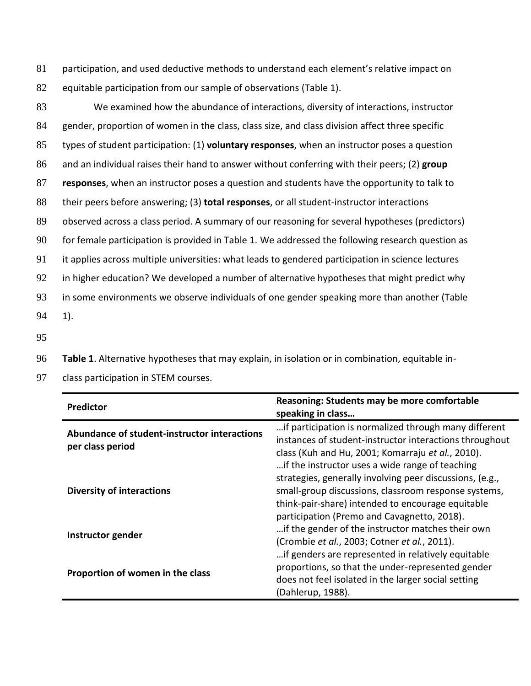81 participation, and used deductive methods to understand each element's relative impact on 82 equitable participation from our sample of observations (Table 1).

 We examined how the abundance of interactions, diversity of interactions, instructor gender, proportion of women in the class, class size, and class division affect three specific types of student participation: (1) **voluntary responses**, when an instructor poses a question and an individual raises their hand to answer without conferring with their peers; (2) **group responses**, when an instructor poses a question and students have the opportunity to talk to their peers before answering; (3) **total responses**, or all student-instructor interactions observed across a class period. A summary of our reasoning for several hypotheses (predictors) for female participation is provided in Table 1. We addressed the following research question as it applies across multiple universities: what leads to gendered participation in science lectures 92 in higher education? We developed a number of alternative hypotheses that might predict why in some environments we observe individuals of one gender speaking more than another (Table 94 1).

95

96 **Table 1**. Alternative hypotheses that may explain, in isolation or in combination, equitable in-

97 class participation in STEM courses.

| <b>Predictor</b>                                                 | Reasoning: Students may be more comfortable<br>speaking in class                                                                                                                                                         |
|------------------------------------------------------------------|--------------------------------------------------------------------------------------------------------------------------------------------------------------------------------------------------------------------------|
| Abundance of student-instructor interactions<br>per class period | if participation is normalized through many different<br>instances of student-instructor interactions throughout<br>class (Kuh and Hu, 2001; Komarraju et al., 2010).<br>if the instructor uses a wide range of teaching |
| <b>Diversity of interactions</b>                                 | strategies, generally involving peer discussions, (e.g.,<br>small-group discussions, classroom response systems,<br>think-pair-share) intended to encourage equitable<br>participation (Premo and Cavagnetto, 2018).     |
| Instructor gender                                                | if the gender of the instructor matches their own<br>(Crombie et al., 2003; Cotner et al., 2011).<br>if genders are represented in relatively equitable                                                                  |
| Proportion of women in the class                                 | proportions, so that the under-represented gender<br>does not feel isolated in the larger social setting<br>(Dahlerup, 1988).                                                                                            |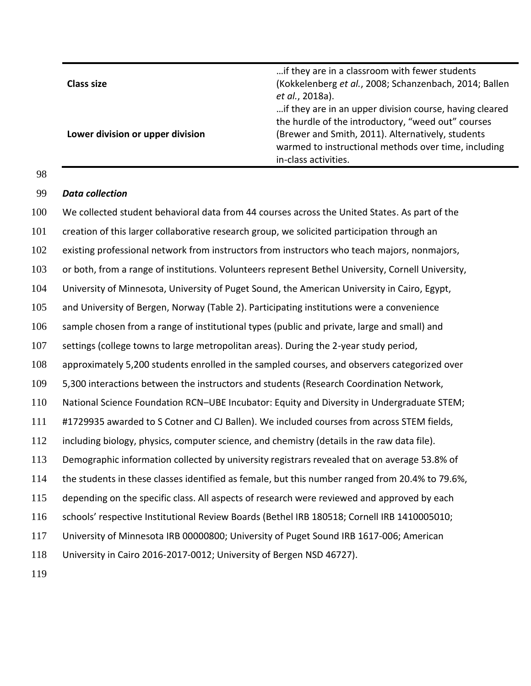|                                  | if they are in a classroom with fewer students                                                            |
|----------------------------------|-----------------------------------------------------------------------------------------------------------|
| <b>Class size</b>                | (Kokkelenberg et al., 2008; Schanzenbach, 2014; Ballen<br>et al., 2018a).                                 |
|                                  | if they are in an upper division course, having cleared                                                   |
|                                  | the hurdle of the introductory, "weed out" courses                                                        |
| Lower division or upper division | (Brewer and Smith, 2011). Alternatively, students<br>warmed to instructional methods over time, including |
|                                  | in-class activities.                                                                                      |

# *Data collection*

 We collected student behavioral data from 44 courses across the United States. As part of the 101 creation of this larger collaborative research group, we solicited participation through an existing professional network from instructors from instructors who teach majors, nonmajors, or both, from a range of institutions. Volunteers represent Bethel University, Cornell University, University of Minnesota, University of Puget Sound, the American University in Cairo, Egypt, and University of Bergen, Norway (Table 2). Participating institutions were a convenience sample chosen from a range of institutional types (public and private, large and small) and settings (college towns to large metropolitan areas). During the 2-year study period, approximately 5,200 students enrolled in the sampled courses, and observers categorized over 5,300 interactions between the instructors and students (Research Coordination Network, National Science Foundation RCN–UBE Incubator: Equity and Diversity in Undergraduate STEM; #1729935 awarded to S Cotner and CJ Ballen). We included courses from across STEM fields, including biology, physics, computer science, and chemistry (details in the raw data file). Demographic information collected by university registrars revealed that on average 53.8% of the students in these classes identified as female, but this number ranged from 20.4% to 79.6%, depending on the specific class. All aspects of research were reviewed and approved by each schools' respective Institutional Review Boards (Bethel IRB 180518; Cornell IRB 1410005010; University of Minnesota IRB 00000800; University of Puget Sound IRB 1617-006; American University in Cairo 2016-2017-0012; University of Bergen NSD 46727).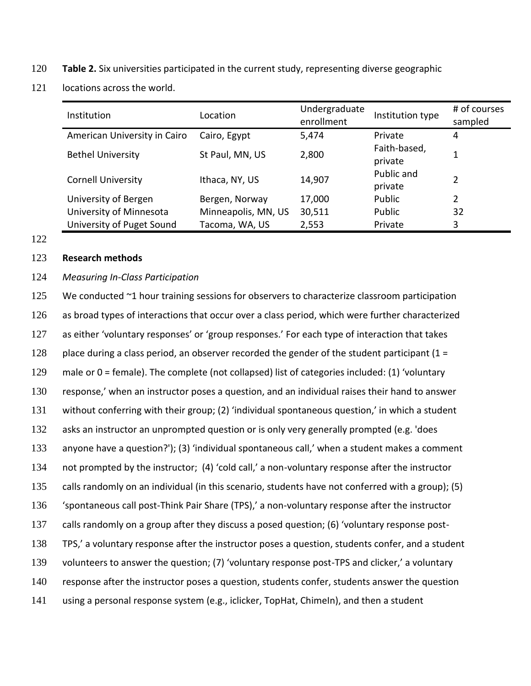- **Table 2.** Six universities participated in the current study, representing diverse geographic
- locations across the world.

| Institution                  | Location            | Undergraduate<br>enrollment | Institution type        | # of courses<br>sampled |
|------------------------------|---------------------|-----------------------------|-------------------------|-------------------------|
| American University in Cairo | Cairo, Egypt        | 5,474                       | Private                 | 4                       |
| <b>Bethel University</b>     | St Paul, MN, US     | 2,800                       | Faith-based,<br>private | 1                       |
| <b>Cornell University</b>    | Ithaca, NY, US      | 14,907                      | Public and<br>private   | $\overline{2}$          |
| University of Bergen         | Bergen, Norway      | 17,000                      | Public                  | 2                       |
| University of Minnesota      | Minneapolis, MN, US | 30,511                      | Public                  | 32                      |
| University of Puget Sound    | Tacoma, WA, US      | 2,553                       | Private                 | 3                       |

#### 

#### **Research methods**

# *Measuring In-Class Participation*

125 We conducted ~1 hour training sessions for observers to characterize classroom participation as broad types of interactions that occur over a class period, which were further characterized as either 'voluntary responses' or 'group responses.' For each type of interaction that takes 128 place during a class period, an observer recorded the gender of the student participant (1 = male or 0 = female). The complete (not collapsed) list of categories included: (1) 'voluntary response,' when an instructor poses a question, and an individual raises their hand to answer without conferring with their group; (2) 'individual spontaneous question,' in which a student asks an instructor an unprompted question or is only very generally prompted (e.g. 'does anyone have a question?'); (3) 'individual spontaneous call,' when a student makes a comment not prompted by the instructor; (4) 'cold call,' a non-voluntary response after the instructor calls randomly on an individual (in this scenario, students have not conferred with a group); (5) 'spontaneous call post-Think Pair Share (TPS),' a non-voluntary response after the instructor calls randomly on a group after they discuss a posed question; (6) 'voluntary response post- TPS,' a voluntary response after the instructor poses a question, students confer, and a student volunteers to answer the question; (7) 'voluntary response post-TPS and clicker,' a voluntary response after the instructor poses a question, students confer, students answer the question using a personal response system (e.g., iclicker, TopHat, ChimeIn), and then a student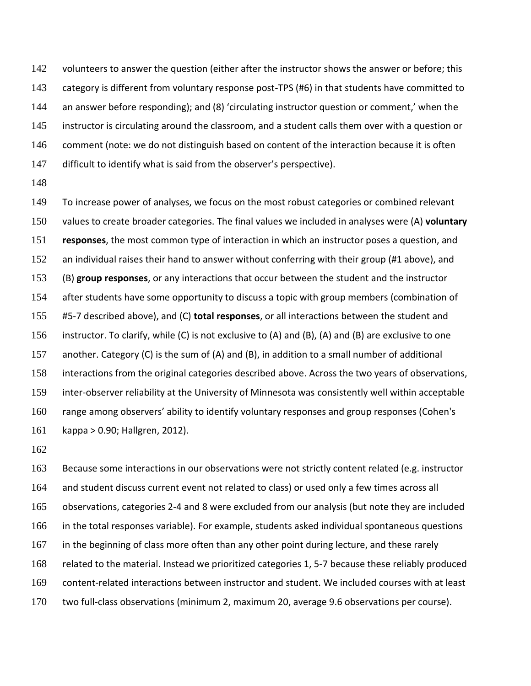142 volunteers to answer the question (either after the instructor shows the answer or before; this category is different from voluntary response post-TPS (#6) in that students have committed to an answer before responding); and (8) 'circulating instructor question or comment,' when the 145 instructor is circulating around the classroom, and a student calls them over with a question or 146 comment (note: we do not distinguish based on content of the interaction because it is often 147 difficult to identify what is said from the observer's perspective).

149 To increase power of analyses, we focus on the most robust categories or combined relevant values to create broader categories. The final values we included in analyses were (A) **voluntary responses**, the most common type of interaction in which an instructor poses a question, and an individual raises their hand to answer without conferring with their group (#1 above), and (B) **group responses**, or any interactions that occur between the student and the instructor 154 after students have some opportunity to discuss a topic with group members (combination of #5-7 described above), and (C) **total responses**, or all interactions between the student and instructor. To clarify, while (C) is not exclusive to (A) and (B), (A) and (B) are exclusive to one another. Category (C) is the sum of (A) and (B), in addition to a small number of additional interactions from the original categories described above. Across the two years of observations, inter-observer reliability at the University of Minnesota was consistently well within acceptable range among observers' ability to identify voluntary responses and group responses (Cohen's kappa > 0.90; Hallgren, 2012).

163 Because some interactions in our observations were not strictly content related (e.g. instructor 164 and student discuss current event not related to class) or used only a few times across all observations, categories 2-4 and 8 were excluded from our analysis (but note they are included in the total responses variable). For example, students asked individual spontaneous questions 167 in the beginning of class more often than any other point during lecture, and these rarely related to the material. Instead we prioritized categories 1, 5-7 because these reliably produced content-related interactions between instructor and student. We included courses with at least two full-class observations (minimum 2, maximum 20, average 9.6 observations per course).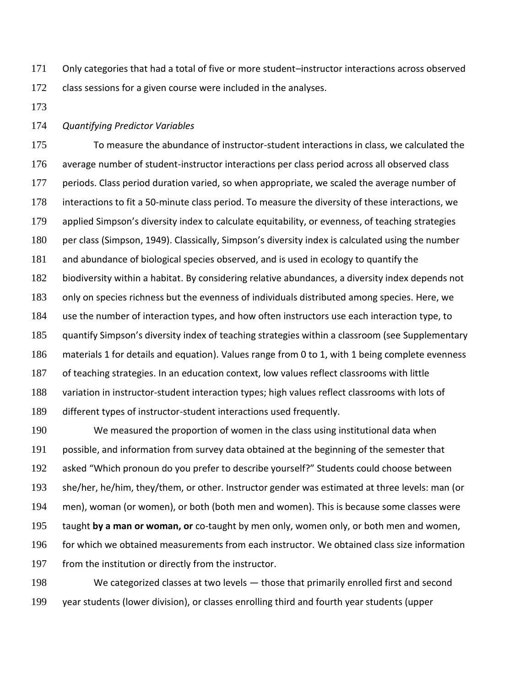Only categories that had a total of five or more student–instructor interactions across observed 172 class sessions for a given course were included in the analyses.

#### *Quantifying Predictor Variables*

 To measure the abundance of instructor-student interactions in class, we calculated the average number of student-instructor interactions per class period across all observed class 177 periods. Class period duration varied, so when appropriate, we scaled the average number of interactions to fit a 50-minute class period. To measure the diversity of these interactions, we applied Simpson's diversity index to calculate equitability, or evenness, of teaching strategies 180 per class (Simpson, 1949). Classically, Simpson's diversity index is calculated using the number and abundance of biological species observed, and is used in ecology to quantify the biodiversity within a habitat. By considering relative abundances, a diversity index depends not only on species richness but the evenness of individuals distributed among species. Here, we use the number of interaction types, and how often instructors use each interaction type, to quantify Simpson's diversity index of teaching strategies within a classroom (see Supplementary materials 1 for details and equation). Values range from 0 to 1, with 1 being complete evenness 187 of teaching strategies. In an education context, low values reflect classrooms with little variation in instructor-student interaction types; high values reflect classrooms with lots of different types of instructor-student interactions used frequently.

 We measured the proportion of women in the class using institutional data when possible, and information from survey data obtained at the beginning of the semester that asked "Which pronoun do you prefer to describe yourself?" Students could choose between she/her, he/him, they/them, or other. Instructor gender was estimated at three levels: man (or men), woman (or women), or both (both men and women). This is because some classes were taught **by a man or woman, or** co-taught by men only, women only, or both men and women, for which we obtained measurements from each instructor. We obtained class size information from the institution or directly from the instructor.

 We categorized classes at two levels — those that primarily enrolled first and second year students (lower division), or classes enrolling third and fourth year students (upper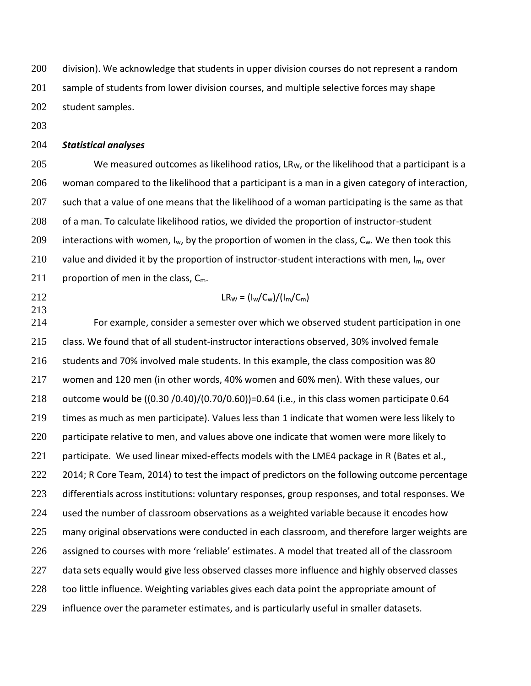200 division). We acknowledge that students in upper division courses do not represent a random sample of students from lower division courses, and multiple selective forces may shape student samples.

# *Statistical analyses*

 We measured outcomes as likelihood ratios, LR<sub>W</sub>, or the likelihood that a participant is a woman compared to the likelihood that a participant is a man in a given category of interaction, 207 such that a value of one means that the likelihood of a woman participating is the same as that of a man. To calculate likelihood ratios, we divided the proportion of instructor-student 209 interactions with women,  $I_w$ , by the proportion of women in the class,  $C_w$ . We then took this 210 value and divided it by the proportion of instructor-student interactions with men,  $I_m$ , over 211 proportion of men in the class,  $C_m$ .

- 
- 212 LR<sub>W</sub> =  $\frac{1}{W}$  LR<sub>W</sub> =  $\frac{1}{W}C_w \frac{1}{W}$

 For example, consider a semester over which we observed student participation in one class. We found that of all student-instructor interactions observed, 30% involved female students and 70% involved male students. In this example, the class composition was 80 women and 120 men (in other words, 40% women and 60% men). With these values, our outcome would be ((0.30 /0.40)/(0.70/0.60))=0.64 (i.e., in this class women participate 0.64 times as much as men participate). Values less than 1 indicate that women were less likely to 220 participate relative to men, and values above one indicate that women were more likely to 221 participate. We used linear mixed-effects models with the LME4 package in R (Bates et al., 222 2014; R Core Team, 2014) to test the impact of predictors on the following outcome percentage differentials across institutions: voluntary responses, group responses, and total responses. We used the number of classroom observations as a weighted variable because it encodes how 225 many original observations were conducted in each classroom, and therefore larger weights are assigned to courses with more 'reliable' estimates. A model that treated all of the classroom 227 data sets equally would give less observed classes more influence and highly observed classes too little influence. Weighting variables gives each data point the appropriate amount of influence over the parameter estimates, and is particularly useful in smaller datasets.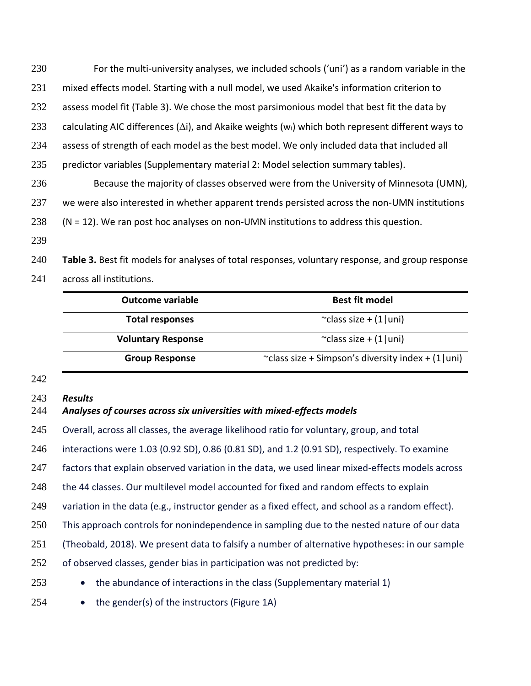For the multi-university analyses, we included schools ('uni') as a random variable in the mixed effects model. Starting with a null model, we used Akaike's information criterion to assess model fit (Table 3). We chose the most parsimonious model that best fit the data by 233 calculating AIC differences ( $\Delta i$ ), and Akaike weights (w<sub>i</sub>) which both represent different ways to 234 assess of strength of each model as the best model. We only included data that included all predictor variables (Supplementary material 2: Model selection summary tables). Because the majority of classes observed were from the University of Minnesota (UMN), 237 we were also interested in whether apparent trends persisted across the non-UMN institutions (N = 12). We ran post hoc analyses on non-UMN institutions to address this question.

 **Table 3.** Best fit models for analyses of total responses, voluntary response, and group response across all institutions.

| <b>Outcome variable</b>   | <b>Best fit model</b>                                 |
|---------------------------|-------------------------------------------------------|
| <b>Total responses</b>    | $\sim$ class size + (1 uni)                           |
| <b>Voluntary Response</b> | $\sim$ class size + (1 uni)                           |
| <b>Group Response</b>     | ~class size + Simpson's diversity index + $(1   uni)$ |

#### *Results*

#### *Analyses of courses across six universities with mixed-effects models*

Overall, across all classes, the average likelihood ratio for voluntary, group, and total

interactions were 1.03 (0.92 SD), 0.86 (0.81 SD), and 1.2 (0.91 SD), respectively. To examine

factors that explain observed variation in the data, we used linear mixed-effects models across

the 44 classes. Our multilevel model accounted for fixed and random effects to explain

variation in the data (e.g., instructor gender as a fixed effect, and school as a random effect).

This approach controls for nonindependence in sampling due to the nested nature of our data

(Theobald, 2018). We present data to falsify a number of alternative hypotheses: in our sample

of observed classes, gender bias in participation was not predicted by:

253 • the abundance of interactions in the class (Supplementary material 1)

• the gender(s) of the instructors (Figure 1A)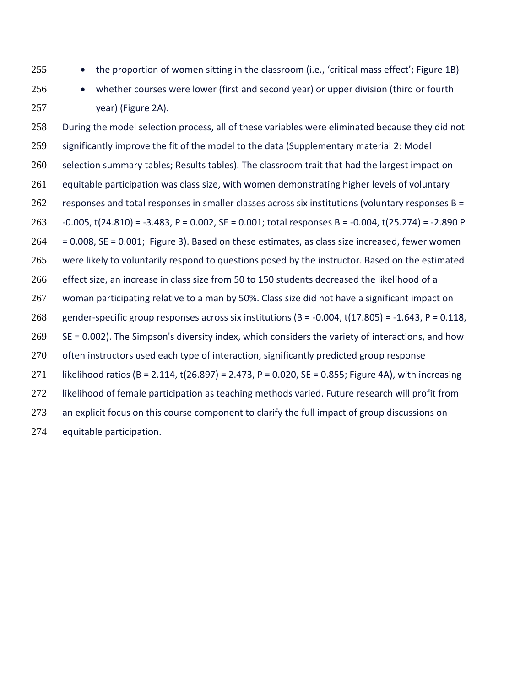- 
- 255 the proportion of women sitting in the classroom (i.e., 'critical mass effect'; Figure 1B)
- 

 • whether courses were lower (first and second year) or upper division (third or fourth year) (Figure 2A).

258 During the model selection process, all of these variables were eliminated because they did not significantly improve the fit of the model to the data (Supplementary material 2: Model selection summary tables; Results tables). The classroom trait that had the largest impact on equitable participation was class size, with women demonstrating higher levels of voluntary responses and total responses in smaller classes across six institutions (voluntary responses B = -0.005, t(24.810) = -3.483, P = 0.002, SE = 0.001; total responses B = -0.004, t(25.274) = -2.890 P  $264 = 0.008$ , SE = 0.001; Figure 3). Based on these estimates, as class size increased, fewer women were likely to voluntarily respond to questions posed by the instructor. Based on the estimated effect size, an increase in class size from 50 to 150 students decreased the likelihood of a woman participating relative to a man by 50%. Class size did not have a significant impact on 268 gender-specific group responses across six institutions (B = -0.004, t(17.805) = -1.643, P = 0.118, SE = 0.002). The Simpson's diversity index, which considers the variety of interactions, and how 270 often instructors used each type of interaction, significantly predicted group response likelihood ratios (B = 2.114, t(26.897) = 2.473, P = 0.020, SE = 0.855; Figure 4A), with increasing 272 likelihood of female participation as teaching methods varied. Future research will profit from 273 an explicit focus on this course component to clarify the full impact of group discussions on equitable participation.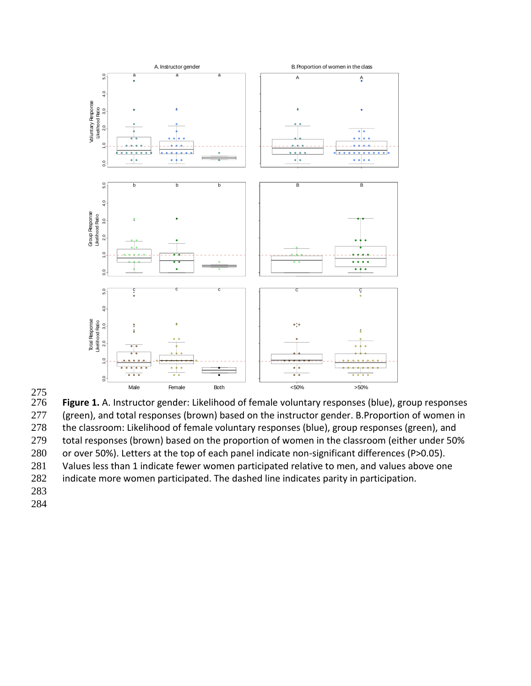



275 Figure 1. A. Instructor gender: Likelihood of female voluntary responses (blue), group responses 277 (green), and total responses (brown) based on the instructor gender. B. Proportion of women in 278 the classroom: Likelihood of female voluntary responses (blue), group responses (green), and 279 total responses (brown) based on the proportion of women in the classroom (either under 50%

280 or over 50%). Letters at the top of each panel indicate non-significant differences (P>0.05).

281 Values less than 1 indicate fewer women participated relative to men, and values above one

282 indicate more women participated. The dashed line indicates parity in participation.

- 283
- 284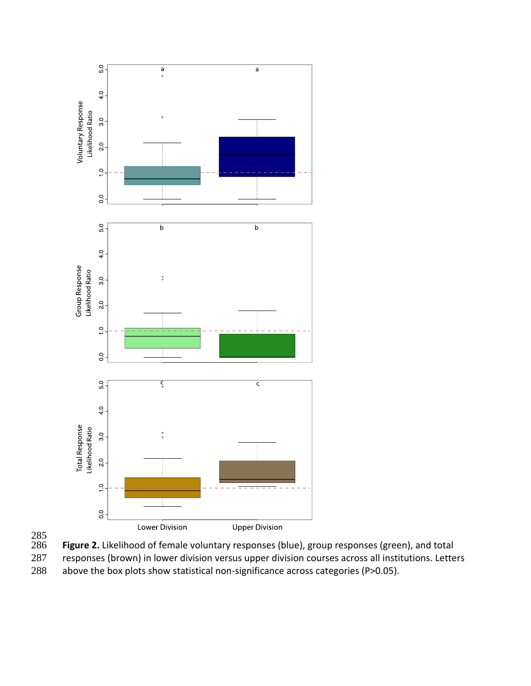



286 **Figure 2.** Likelihood of female voluntary responses (blue), group responses (green), and total<br>287 responses (brown) in lower division versus upper division courses across all institutions. Lette responses (brown) in lower division versus upper division courses across all institutions. Letters

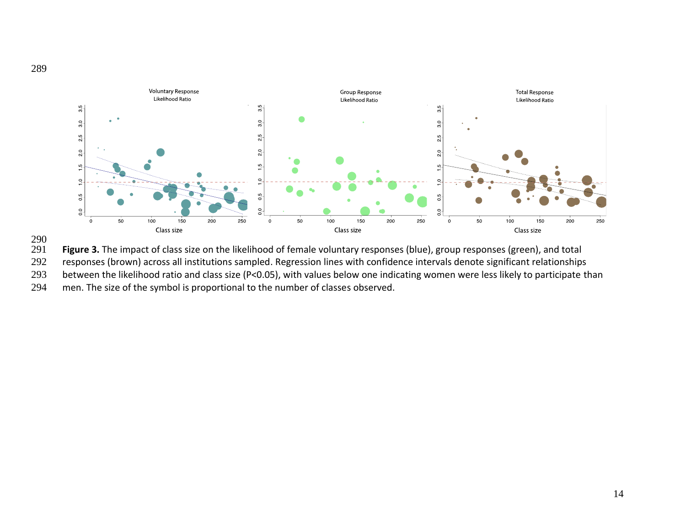



Figure 3. The impact of class size on the likelihood of female voluntary responses (blue), group responses (green), and total

responses (brown) across all institutions sampled. Regression lines with confidence intervals denote significant relationships

between the likelihood ratio and class size (P<0.05), with values below one indicating women were less likely to participate than

men. The size of the symbol is proportional to the number of classes observed.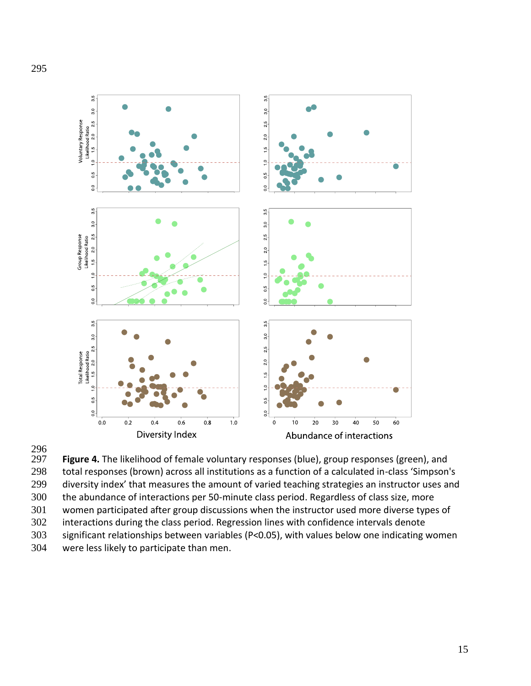

296<br>297

Figure 4. The likelihood of female voluntary responses (blue), group responses (green), and total responses (brown) across all institutions as a function of a calculated in-class 'Simpson's diversity index' that measures the amount of varied teaching strategies an instructor uses and the abundance of interactions per 50-minute class period. Regardless of class size, more women participated after group discussions when the instructor used more diverse types of interactions during the class period. Regression lines with confidence intervals denote significant relationships between variables (P<0.05), with values below one indicating women were less likely to participate than men.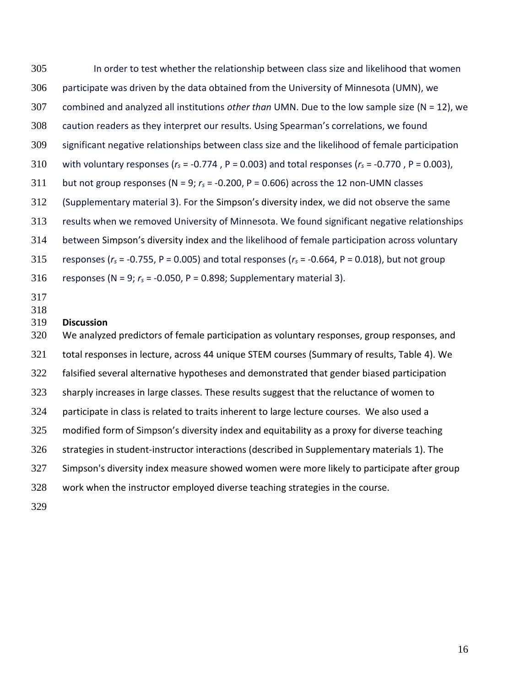In order to test whether the relationship between class size and likelihood that women participate was driven by the data obtained from the University of Minnesota (UMN), we combined and analyzed all institutions *other than* UMN. Due to the low sample size (N = 12), we caution readers as they interpret our results. Using Spearman's correlations, we found significant negative relationships between class size and the likelihood of female participation 310 with voluntary responses ( $r_s$  = -0.774, P = 0.003) and total responses ( $r_s$  = -0.770, P = 0.003), 311 but not group responses ( $N = 9$ ;  $r_s = -0.200$ ,  $P = 0.606$ ) across the 12 non-UMN classes (Supplementary material 3). For the Simpson's diversity index, we did not observe the same results when we removed University of Minnesota. We found significant negative relationships between Simpson's diversity index and the likelihood of female participation across voluntary 315 responses ( $r_s$  = -0.755, P = 0.005) and total responses ( $r_s$  = -0.664, P = 0.018), but not group responses (N = 9; *r<sup>s</sup>* = -0.050, P = 0.898; Supplementary material 3). **Discussion** We analyzed predictors of female participation as voluntary responses, group responses, and total responses in lecture, across 44 unique STEM courses (Summary of results, Table 4). We 322 falsified several alternative hypotheses and demonstrated that gender biased participation sharply increases in large classes. These results suggest that the reluctance of women to participate in class is related to traits inherent to large lecture courses. We also used a modified form of Simpson's diversity index and equitability as a proxy for diverse teaching strategies in student-instructor interactions (described in Supplementary materials 1). The 327 Simpson's diversity index measure showed women were more likely to participate after group work when the instructor employed diverse teaching strategies in the course.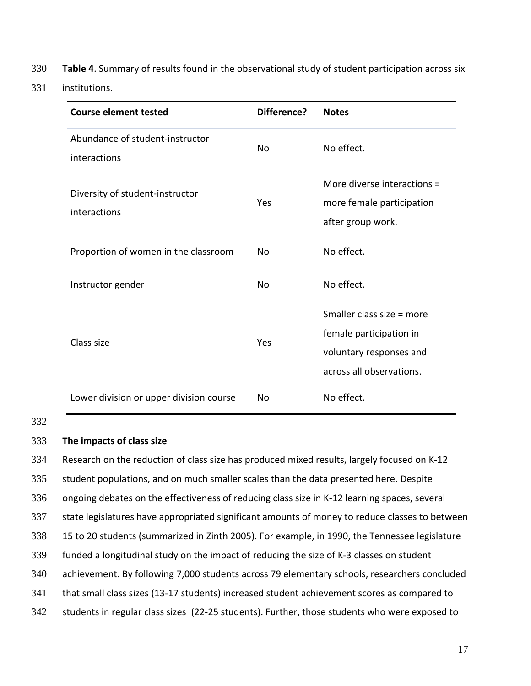- 330 **Table 4**. Summary of results found in the observational study of student participation across six
- 331 institutions.

| <b>Course element tested</b>                    | Difference? | <b>Notes</b>                                                                                                |
|-------------------------------------------------|-------------|-------------------------------------------------------------------------------------------------------------|
| Abundance of student-instructor<br>interactions | No          | No effect.                                                                                                  |
| Diversity of student-instructor<br>interactions | Yes         | More diverse interactions =<br>more female participation<br>after group work.                               |
| Proportion of women in the classroom            | <b>No</b>   | No effect.                                                                                                  |
| Instructor gender                               | No          | No effect.                                                                                                  |
| Class size                                      | Yes         | Smaller class size = more<br>female participation in<br>voluntary responses and<br>across all observations. |
| Lower division or upper division course         | No          | No effect.                                                                                                  |

# 332

# 333 **The impacts of class size**

 Research on the reduction of class size has produced mixed results, largely focused on K-12 student populations, and on much smaller scales than the data presented here. Despite ongoing debates on the effectiveness of reducing class size in K-12 learning spaces, several state legislatures have appropriated significant amounts of money to reduce classes to between 15 to 20 students (summarized in Zinth 2005). For example, in 1990, the Tennessee legislature funded a longitudinal study on the impact of reducing the size of K-3 classes on student achievement. By following 7,000 students across 79 elementary schools, researchers concluded that small class sizes (13-17 students) increased student achievement scores as compared to students in regular class sizes (22-25 students). Further, those students who were exposed to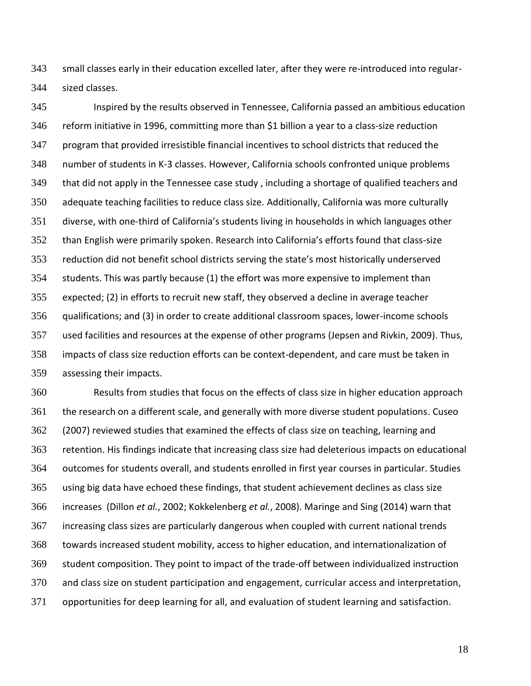small classes early in their education excelled later, after they were re-introduced into regular-sized classes.

 Inspired by the results observed in Tennessee, California passed an ambitious education reform initiative in 1996, committing more than \$1 billion a year to a class-size reduction program that provided irresistible financial incentives to school districts that reduced the number of students in K-3 classes. However, California schools confronted unique problems that did not apply in the Tennessee case study , including a shortage of qualified teachers and adequate teaching facilities to reduce class size. Additionally, California was more culturally diverse, with one-third of California's students living in households in which languages other than English were primarily spoken. Research into California's efforts found that class-size reduction did not benefit school districts serving the state's most historically underserved students. This was partly because (1) the effort was more expensive to implement than expected; (2) in efforts to recruit new staff, they observed a decline in average teacher qualifications; and (3) in order to create additional classroom spaces, lower-income schools used facilities and resources at the expense of other programs (Jepsen and Rivkin, 2009). Thus, impacts of class size reduction efforts can be context-dependent, and care must be taken in assessing their impacts.

 Results from studies that focus on the effects of class size in higher education approach the research on a different scale, and generally with more diverse student populations. Cuseo 362 (2007) reviewed studies that examined the effects of class size on teaching, learning and retention. His findings indicate that increasing class size had deleterious impacts on educational outcomes for students overall, and students enrolled in first year courses in particular. Studies using big data have echoed these findings, that student achievement declines as class size increases (Dillon *et al.*, 2002; Kokkelenberg *et al.*, 2008). Maringe and Sing (2014) warn that increasing class sizes are particularly dangerous when coupled with current national trends towards increased student mobility, access to higher education, and internationalization of student composition. They point to impact of the trade-off between individualized instruction and class size on student participation and engagement, curricular access and interpretation, opportunities for deep learning for all, and evaluation of student learning and satisfaction.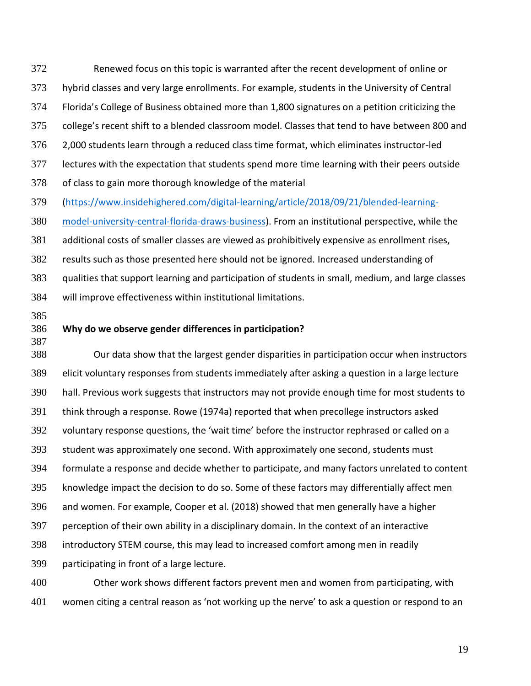Renewed focus on this topic is warranted after the recent development of online or hybrid classes and very large enrollments. For example, students in the University of Central Florida's College of Business obtained more than 1,800 signatures on a petition criticizing the college's recent shift to a blended classroom model. Classes that tend to have between 800 and 2,000 students learn through a reduced class time format, which eliminates instructor-led lectures with the expectation that students spend more time learning with their peers outside of class to gain more thorough knowledge of the material

[\(https://www.insidehighered.com/digital-learning/article/2018/09/21/blended-learning-](https://www.insidehighered.com/digital-learning/article/2018/09/21/blended-learning-model-university-central-florida-draws-business)

[model-university-central-florida-draws-business\)](https://www.insidehighered.com/digital-learning/article/2018/09/21/blended-learning-model-university-central-florida-draws-business). From an institutional perspective, while the

 additional costs of smaller classes are viewed as prohibitively expensive as enrollment rises, results such as those presented here should not be ignored. Increased understanding of qualities that support learning and participation of students in small, medium, and large classes will improve effectiveness within institutional limitations.

- 
- 

# **Why do we observe gender differences in participation?**

 Our data show that the largest gender disparities in participation occur when instructors elicit voluntary responses from students immediately after asking a question in a large lecture hall. Previous work suggests that instructors may not provide enough time for most students to think through a response. Rowe (1974a) reported that when precollege instructors asked voluntary response questions, the 'wait time' before the instructor rephrased or called on a student was approximately one second. With approximately one second, students must formulate a response and decide whether to participate, and many factors unrelated to content knowledge impact the decision to do so. Some of these factors may differentially affect men and women. For example, Cooper et al. (2018) showed that men generally have a higher perception of their own ability in a disciplinary domain. In the context of an interactive introductory STEM course, this may lead to increased comfort among men in readily participating in front of a large lecture.

 Other work shows different factors prevent men and women from participating, with women citing a central reason as 'not working up the nerve' to ask a question or respond to an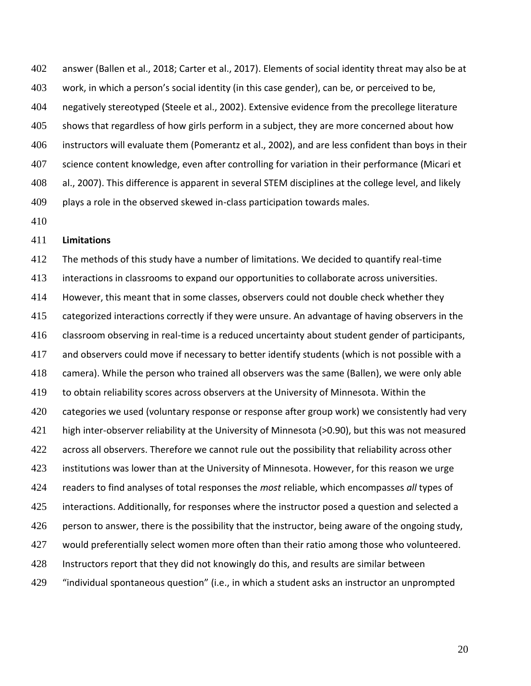answer (Ballen et al., 2018; Carter et al., 2017). Elements of social identity threat may also be at work, in which a person's social identity (in this case gender), can be, or perceived to be, negatively stereotyped (Steele et al., 2002). Extensive evidence from the precollege literature 405 shows that regardless of how girls perform in a subject, they are more concerned about how instructors will evaluate them (Pomerantz et al., 2002), and are less confident than boys in their science content knowledge, even after controlling for variation in their performance (Micari et al., 2007). This difference is apparent in several STEM disciplines at the college level, and likely plays a role in the observed skewed in-class participation towards males.

# **Limitations**

 The methods of this study have a number of limitations. We decided to quantify real-time interactions in classrooms to expand our opportunities to collaborate across universities. However, this meant that in some classes, observers could not double check whether they 415 categorized interactions correctly if they were unsure. An advantage of having observers in the classroom observing in real-time is a reduced uncertainty about student gender of participants, and observers could move if necessary to better identify students (which is not possible with a camera). While the person who trained all observers was the same (Ballen), we were only able to obtain reliability scores across observers at the University of Minnesota. Within the categories we used (voluntary response or response after group work) we consistently had very high inter-observer reliability at the University of Minnesota (>0.90), but this was not measured 422 across all observers. Therefore we cannot rule out the possibility that reliability across other 423 institutions was lower than at the University of Minnesota. However, for this reason we urge readers to find analyses of total responses the *most* reliable, which encompasses *all* types of 425 interactions. Additionally, for responses where the instructor posed a question and selected a 426 person to answer, there is the possibility that the instructor, being aware of the ongoing study, would preferentially select women more often than their ratio among those who volunteered. 428 Instructors report that they did not knowingly do this, and results are similar between "individual spontaneous question" (i.e., in which a student asks an instructor an unprompted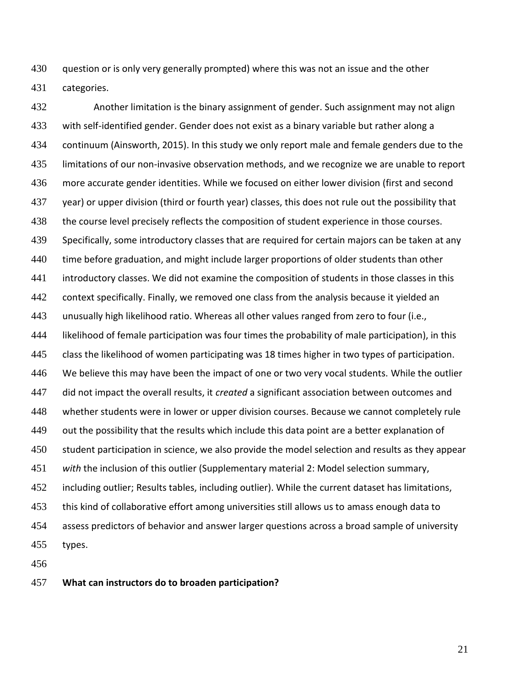430 guestion or is only very generally prompted) where this was not an issue and the other categories.

 Another limitation is the binary assignment of gender. Such assignment may not align with self-identified gender. Gender does not exist as a binary variable but rather along a continuum (Ainsworth, 2015). In this study we only report male and female genders due to the limitations of our non-invasive observation methods, and we recognize we are unable to report more accurate gender identities. While we focused on either lower division (first and second year) or upper division (third or fourth year) classes, this does not rule out the possibility that the course level precisely reflects the composition of student experience in those courses. Specifically, some introductory classes that are required for certain majors can be taken at any 440 time before graduation, and might include larger proportions of older students than other introductory classes. We did not examine the composition of students in those classes in this context specifically. Finally, we removed one class from the analysis because it yielded an unusually high likelihood ratio. Whereas all other values ranged from zero to four (i.e., likelihood of female participation was four times the probability of male participation), in this class the likelihood of women participating was 18 times higher in two types of participation. We believe this may have been the impact of one or two very vocal students. While the outlier did not impact the overall results, it *created* a significant association between outcomes and whether students were in lower or upper division courses. Because we cannot completely rule out the possibility that the results which include this data point are a better explanation of student participation in science, we also provide the model selection and results as they appear *with* the inclusion of this outlier (Supplementary material 2: Model selection summary, including outlier; Results tables, including outlier). While the current dataset has limitations, this kind of collaborative effort among universities still allows us to amass enough data to assess predictors of behavior and answer larger questions across a broad sample of university types.

**What can instructors do to broaden participation?**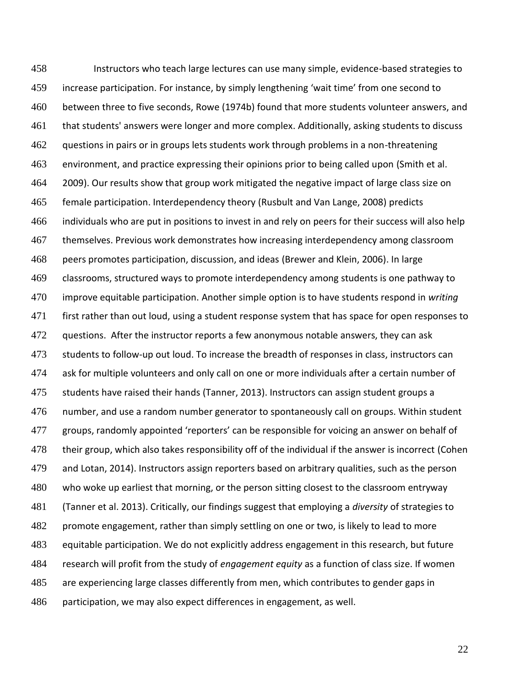Instructors who teach large lectures can use many simple, evidence-based strategies to increase participation. For instance, by simply lengthening 'wait time' from one second to between three to five seconds, Rowe (1974b) found that more students volunteer answers, and that students' answers were longer and more complex. Additionally, asking students to discuss 462 guestions in pairs or in groups lets students work through problems in a non-threatening environment, and practice expressing their opinions prior to being called upon (Smith et al. 2009). Our results show that group work mitigated the negative impact of large class size on female participation. Interdependency theory (Rusbult and Van Lange, 2008) predicts individuals who are put in positions to invest in and rely on peers for their success will also help themselves. Previous work demonstrates how increasing interdependency among classroom peers promotes participation, discussion, and ideas (Brewer and Klein, 2006). In large classrooms, structured ways to promote interdependency among students is one pathway to improve equitable participation. Another simple option is to have students respond in *writing* first rather than out loud, using a student response system that has space for open responses to 472 guestions. After the instructor reports a few anonymous notable answers, they can ask students to follow-up out loud. To increase the breadth of responses in class, instructors can ask for multiple volunteers and only call on one or more individuals after a certain number of students have raised their hands (Tanner, 2013). Instructors can assign student groups a number, and use a random number generator to spontaneously call on groups. Within student groups, randomly appointed 'reporters' can be responsible for voicing an answer on behalf of their group, which also takes responsibility off of the individual if the answer is incorrect (Cohen and Lotan, 2014). Instructors assign reporters based on arbitrary qualities, such as the person who woke up earliest that morning, or the person sitting closest to the classroom entryway (Tanner et al. 2013). Critically, our findings suggest that employing a *diversity* of strategies to 482 promote engagement, rather than simply settling on one or two, is likely to lead to more equitable participation. We do not explicitly address engagement in this research, but future research will profit from the study of *engagement equity* as a function of class size. If women are experiencing large classes differently from men, which contributes to gender gaps in participation, we may also expect differences in engagement, as well.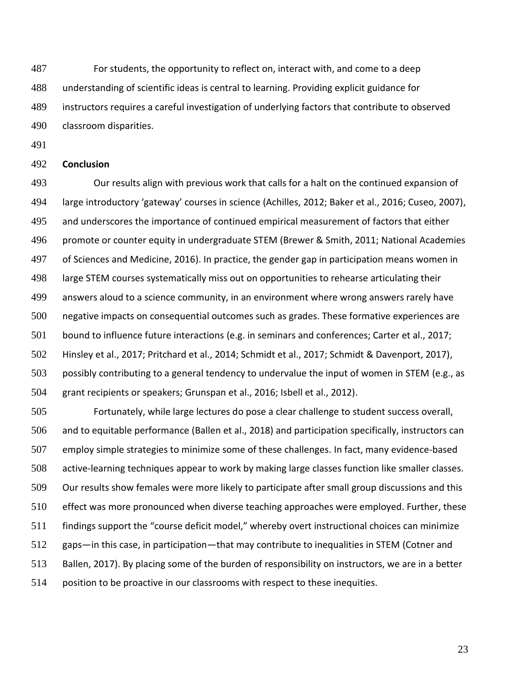For students, the opportunity to reflect on, interact with, and come to a deep understanding of scientific ideas is central to learning. Providing explicit guidance for instructors requires a careful investigation of underlying factors that contribute to observed classroom disparities.

#### **Conclusion**

 Our results align with previous work that calls for a halt on the continued expansion of large introductory 'gateway' courses in science (Achilles, 2012; Baker et al., 2016; Cuseo, 2007), and underscores the importance of continued empirical measurement of factors that either promote or counter equity in undergraduate STEM (Brewer & Smith, 2011; National Academies of Sciences and Medicine, 2016). In practice, the gender gap in participation means women in large STEM courses systematically miss out on opportunities to rehearse articulating their answers aloud to a science community, in an environment where wrong answers rarely have negative impacts on consequential outcomes such as grades. These formative experiences are bound to influence future interactions (e.g. in seminars and conferences; Carter et al., 2017; Hinsley et al., 2017; Pritchard et al., 2014; Schmidt et al., 2017; Schmidt & Davenport, 2017), possibly contributing to a general tendency to undervalue the input of women in STEM (e.g., as grant recipients or speakers; Grunspan et al., 2016; Isbell et al., 2012).

 Fortunately, while large lectures do pose a clear challenge to student success overall, and to equitable performance (Ballen et al., 2018) and participation specifically, instructors can employ simple strategies to minimize some of these challenges. In fact, many evidence-based active-learning techniques appear to work by making large classes function like smaller classes. Our results show females were more likely to participate after small group discussions and this effect was more pronounced when diverse teaching approaches were employed. Further, these findings support the "course deficit model," whereby overt instructional choices can minimize gaps—in this case, in participation—that may contribute to inequalities in STEM (Cotner and Ballen, 2017). By placing some of the burden of responsibility on instructors, we are in a better position to be proactive in our classrooms with respect to these inequities.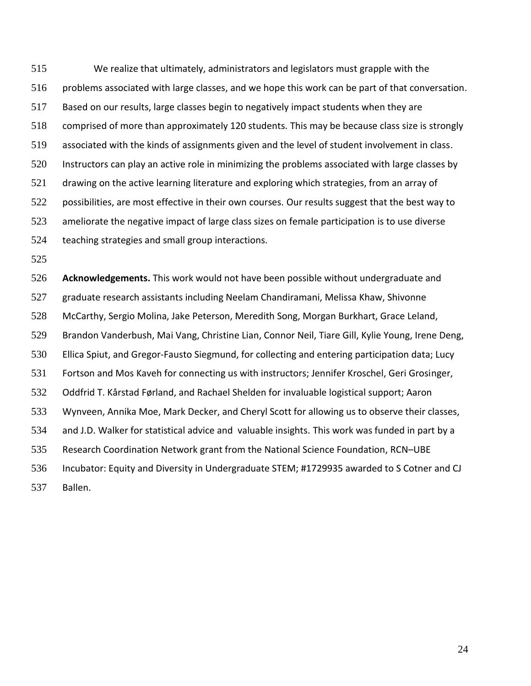We realize that ultimately, administrators and legislators must grapple with the problems associated with large classes, and we hope this work can be part of that conversation. Based on our results, large classes begin to negatively impact students when they are comprised of more than approximately 120 students. This may be because class size is strongly associated with the kinds of assignments given and the level of student involvement in class. Instructors can play an active role in minimizing the problems associated with large classes by drawing on the active learning literature and exploring which strategies, from an array of 522 possibilities, are most effective in their own courses. Our results suggest that the best way to ameliorate the negative impact of large class sizes on female participation is to use diverse teaching strategies and small group interactions.

 **Acknowledgements.** This work would not have been possible without undergraduate and graduate research assistants including Neelam Chandiramani, Melissa Khaw, Shivonne McCarthy, Sergio Molina, Jake Peterson, Meredith Song, Morgan Burkhart, Grace Leland, Brandon Vanderbush, Mai Vang, Christine Lian, Connor Neil, Tiare Gill, Kylie Young, Irene Deng, Ellica Spiut, and Gregor-Fausto Siegmund, for collecting and entering participation data; Lucy Fortson and Mos Kaveh for connecting us with instructors; Jennifer Kroschel, Geri Grosinger, Oddfrid T. Kårstad Førland, and Rachael Shelden for invaluable logistical support; Aaron Wynveen, Annika Moe, Mark Decker, and Cheryl Scott for allowing us to observe their classes, and J.D. Walker for statistical advice and valuable insights. This work was funded in part by a Research Coordination Network grant from the National Science Foundation, RCN–UBE Incubator: Equity and Diversity in Undergraduate STEM; #1729935 awarded to S Cotner and CJ Ballen.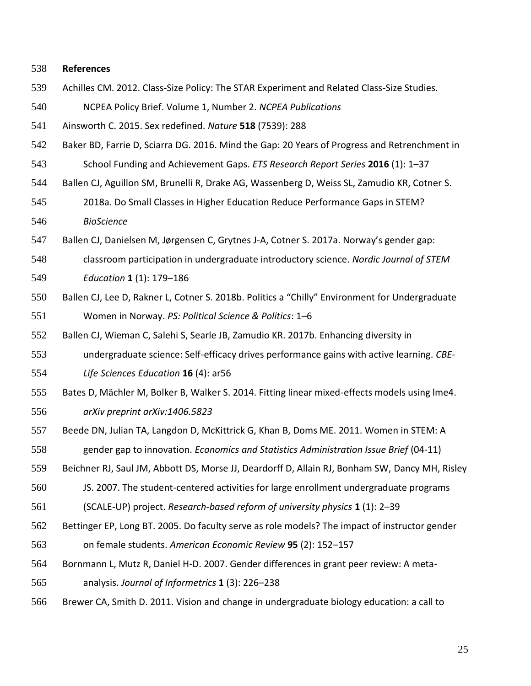#### **References**

- Achilles CM. 2012. Class-Size Policy: The STAR Experiment and Related Class-Size Studies.
- NCPEA Policy Brief. Volume 1, Number 2. *NCPEA Publications*
- Ainsworth C. 2015. Sex redefined. *Nature* **518** (7539): 288
- Baker BD, Farrie D, Sciarra DG. 2016. Mind the Gap: 20 Years of Progress and Retrenchment in
- School Funding and Achievement Gaps. *ETS Research Report Series* **2016** (1): 1–37
- Ballen CJ, Aguillon SM, Brunelli R, Drake AG, Wassenberg D, Weiss SL, Zamudio KR, Cotner S.
- 2018a. Do Small Classes in Higher Education Reduce Performance Gaps in STEM? *BioScience*
- Ballen CJ, Danielsen M, Jørgensen C, Grytnes J-A, Cotner S. 2017a. Norway's gender gap:
- classroom participation in undergraduate introductory science. *Nordic Journal of STEM*
- *Education* **1** (1): 179–186
- Ballen CJ, Lee D, Rakner L, Cotner S. 2018b. Politics a "Chilly" Environment for Undergraduate Women in Norway. *PS: Political Science & Politics*: 1–6
- Ballen CJ, Wieman C, Salehi S, Searle JB, Zamudio KR. 2017b. Enhancing diversity in
- undergraduate science: Self-efficacy drives performance gains with active learning. *CBE-*
- *Life Sciences Education* **16** (4): ar56
- Bates D, Mächler M, Bolker B, Walker S. 2014. Fitting linear mixed-effects models using lme4. *arXiv preprint arXiv:1406.5823*
- Beede DN, Julian TA, Langdon D, McKittrick G, Khan B, Doms ME. 2011. Women in STEM: A gender gap to innovation. *Economics and Statistics Administration Issue Brief* (04-11)
- Beichner RJ, Saul JM, Abbott DS, Morse JJ, Deardorff D, Allain RJ, Bonham SW, Dancy MH, Risley
- JS. 2007. The student-centered activities for large enrollment undergraduate programs
- (SCALE-UP) project. *Research-based reform of university physics* **1** (1): 2–39
- Bettinger EP, Long BT. 2005. Do faculty serve as role models? The impact of instructor gender
- on female students. *American Economic Review* **95** (2): 152–157
- Bornmann L, Mutz R, Daniel H-D. 2007. Gender differences in grant peer review: A meta-
- analysis. *Journal of Informetrics* **1** (3): 226–238
- Brewer CA, Smith D. 2011. Vision and change in undergraduate biology education: a call to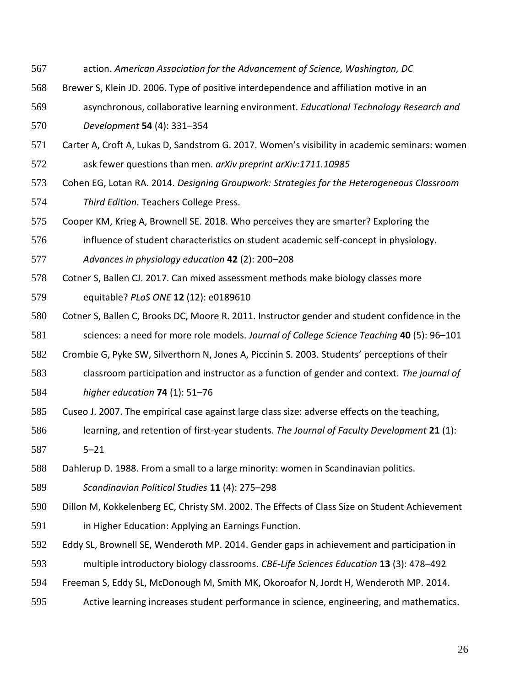- action. *American Association for the Advancement of Science, Washington, DC*
- Brewer S, Klein JD. 2006. Type of positive interdependence and affiliation motive in an
- asynchronous, collaborative learning environment. *Educational Technology Research and*

*Development* **54** (4): 331–354

- Carter A, Croft A, Lukas D, Sandstrom G. 2017. Women's visibility in academic seminars: women ask fewer questions than men. *arXiv preprint arXiv:1711.10985*
- Cohen EG, Lotan RA. 2014. *Designing Groupwork: Strategies for the Heterogeneous Classroom Third Edition*. Teachers College Press.
- Cooper KM, Krieg A, Brownell SE. 2018. Who perceives they are smarter? Exploring the
- influence of student characteristics on student academic self-concept in physiology.
- *Advances in physiology education* **42** (2): 200–208
- Cotner S, Ballen CJ. 2017. Can mixed assessment methods make biology classes more
- equitable? *PLoS ONE* **12** (12): e0189610
- Cotner S, Ballen C, Brooks DC, Moore R. 2011. Instructor gender and student confidence in the sciences: a need for more role models. *Journal of College Science Teaching* **40** (5): 96–101
- Crombie G, Pyke SW, Silverthorn N, Jones A, Piccinin S. 2003. Students' perceptions of their
- classroom participation and instructor as a function of gender and context. *The journal of higher education* **74** (1): 51–76
- Cuseo J. 2007. The empirical case against large class size: adverse effects on the teaching,
- learning, and retention of first-year students. *The Journal of Faculty Development* **21** (1): 5–21
- Dahlerup D. 1988. From a small to a large minority: women in Scandinavian politics.
- *Scandinavian Political Studies* **11** (4): 275–298
- Dillon M, Kokkelenberg EC, Christy SM. 2002. The Effects of Class Size on Student Achievement
- in Higher Education: Applying an Earnings Function.
- Eddy SL, Brownell SE, Wenderoth MP. 2014. Gender gaps in achievement and participation in multiple introductory biology classrooms. *CBE-Life Sciences Education* **13** (3): 478–492
- Freeman S, Eddy SL, McDonough M, Smith MK, Okoroafor N, Jordt H, Wenderoth MP. 2014.
- Active learning increases student performance in science, engineering, and mathematics.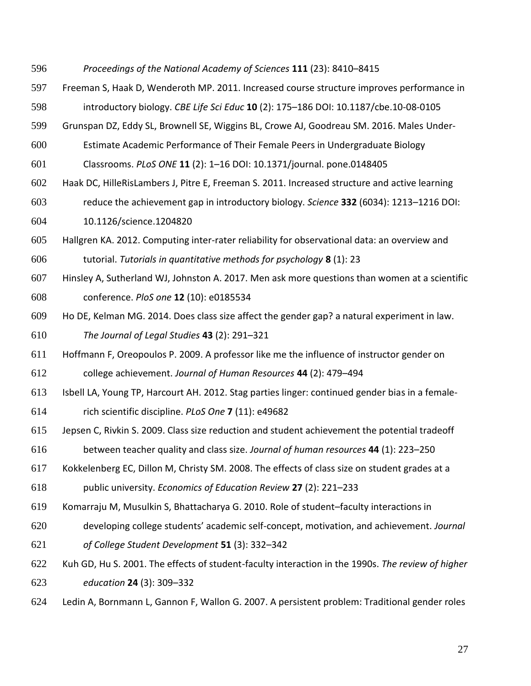- *Proceedings of the National Academy of Sciences* **111** (23): 8410–8415
- Freeman S, Haak D, Wenderoth MP. 2011. Increased course structure improves performance in introductory biology. *CBE Life Sci Educ* **10** (2): 175–186 DOI: 10.1187/cbe.10-08-0105
- Grunspan DZ, Eddy SL, Brownell SE, Wiggins BL, Crowe AJ, Goodreau SM. 2016. Males Under-
- Estimate Academic Performance of Their Female Peers in Undergraduate Biology
- Classrooms. *PLoS ONE* **11** (2): 1–16 DOI: 10.1371/journal. pone.0148405
- Haak DC, HilleRisLambers J, Pitre E, Freeman S. 2011. Increased structure and active learning
- reduce the achievement gap in introductory biology. *Science* **332** (6034): 1213–1216 DOI: 10.1126/science.1204820
- Hallgren KA. 2012. Computing inter-rater reliability for observational data: an overview and tutorial. *Tutorials in quantitative methods for psychology* **8** (1): 23
- Hinsley A, Sutherland WJ, Johnston A. 2017. Men ask more questions than women at a scientific conference. *PloS one* **12** (10): e0185534
- Ho DE, Kelman MG. 2014. Does class size affect the gender gap? a natural experiment in law. *The Journal of Legal Studies* **43** (2): 291–321
- Hoffmann F, Oreopoulos P. 2009. A professor like me the influence of instructor gender on college achievement. *Journal of Human Resources* **44** (2): 479–494
- Isbell LA, Young TP, Harcourt AH. 2012. Stag parties linger: continued gender bias in a female-
- rich scientific discipline. *PLoS One* **7** (11): e49682
- Jepsen C, Rivkin S. 2009. Class size reduction and student achievement the potential tradeoff between teacher quality and class size. *Journal of human resources* **44** (1): 223–250
- Kokkelenberg EC, Dillon M, Christy SM. 2008. The effects of class size on student grades at a
- public university. *Economics of Education Review* **27** (2): 221–233
- Komarraju M, Musulkin S, Bhattacharya G. 2010. Role of student–faculty interactions in
- developing college students' academic self-concept, motivation, and achievement. *Journal*
- *of College Student Development* **51** (3): 332–342
- Kuh GD, Hu S. 2001. The effects of student-faculty interaction in the 1990s. *The review of higher education* **24** (3): 309–332
- Ledin A, Bornmann L, Gannon F, Wallon G. 2007. A persistent problem: Traditional gender roles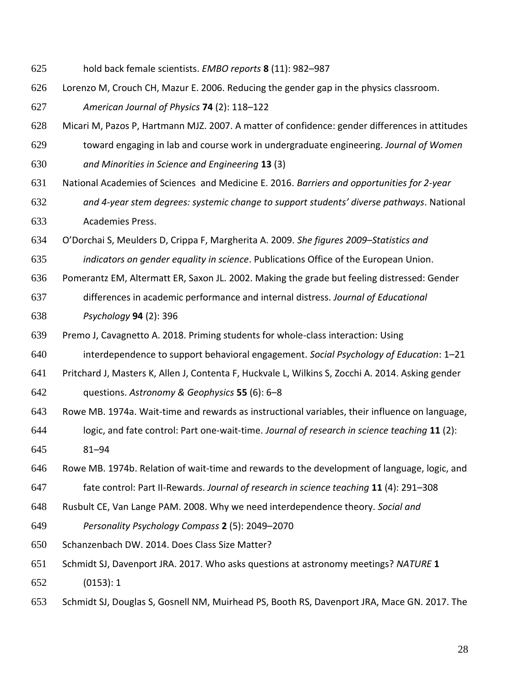- hold back female scientists. *EMBO reports* **8** (11): 982–987
- Lorenzo M, Crouch CH, Mazur E. 2006. Reducing the gender gap in the physics classroom. *American Journal of Physics* **74** (2): 118–122
- Micari M, Pazos P, Hartmann MJZ. 2007. A matter of confidence: gender differences in attitudes
- toward engaging in lab and course work in undergraduate engineering. *Journal of Women and Minorities in Science and Engineering* **13** (3)
- National Academies of Sciences and Medicine E. 2016. *Barriers and opportunities for 2-year*
- *and 4-year stem degrees: systemic change to support students' diverse pathways*. National Academies Press.
- O'Dorchai S, Meulders D, Crippa F, Margherita A. 2009. *She figures 2009–Statistics and*
- *indicators on gender equality in science*. Publications Office of the European Union.
- Pomerantz EM, Altermatt ER, Saxon JL. 2002. Making the grade but feeling distressed: Gender
- differences in academic performance and internal distress. *Journal of Educational Psychology* **94** (2): 396
- Premo J, Cavagnetto A. 2018. Priming students for whole-class interaction: Using
- interdependence to support behavioral engagement. *Social Psychology of Education*: 1–21
- Pritchard J, Masters K, Allen J, Contenta F, Huckvale L, Wilkins S, Zocchi A. 2014. Asking gender questions. *Astronomy & Geophysics* **55** (6): 6–8
- Rowe MB. 1974a. Wait‐time and rewards as instructional variables, their influence on language,
- logic, and fate control: Part one‐wait‐time. *Journal of research in science teaching* **11** (2): 81–94
- Rowe MB. 1974b. Relation of wait‐time and rewards to the development of language, logic, and
- fate control: Part II‐Rewards. *Journal of research in science teaching* **11** (4): 291–308
- Rusbult CE, Van Lange PAM. 2008. Why we need interdependence theory. *Social and*
- *Personality Psychology Compass* **2** (5): 2049–2070
- Schanzenbach DW. 2014. Does Class Size Matter?
- Schmidt SJ, Davenport JRA. 2017. Who asks questions at astronomy meetings? *NATURE* **1** (0153): 1
- Schmidt SJ, Douglas S, Gosnell NM, Muirhead PS, Booth RS, Davenport JRA, Mace GN. 2017. The